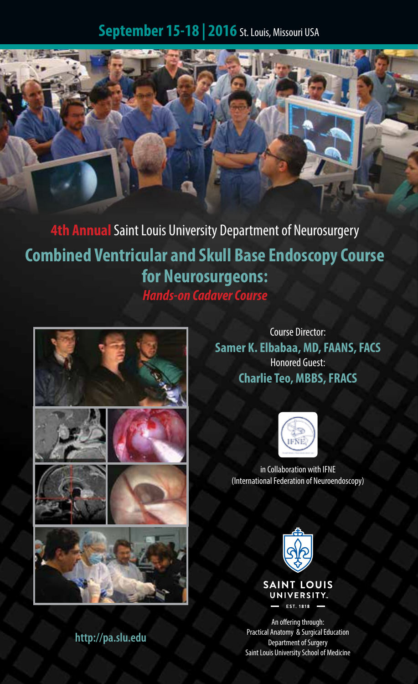# **September 15-18 | 2016** St. Louis, Missouri USA



**4th Annual** Saint Louis University Department of Neurosurgery **Combined Ventricular and Skull Base Endoscopy Course for Neurosurgeons:** *Hands-on Cadaver Course*



Course Director: **Samer K. Elbabaa, MD, FAANS, FACS** Honored Guest: **Charlie Teo, MBBS, FRACS**



in Collaboration with IFNE (International Federation of Neuroendoscopy)



An offering through: Practical Anatomy & Surgical Education Department of Surgery Saint Louis University School of Medicine

**http://pa.slu.edu**